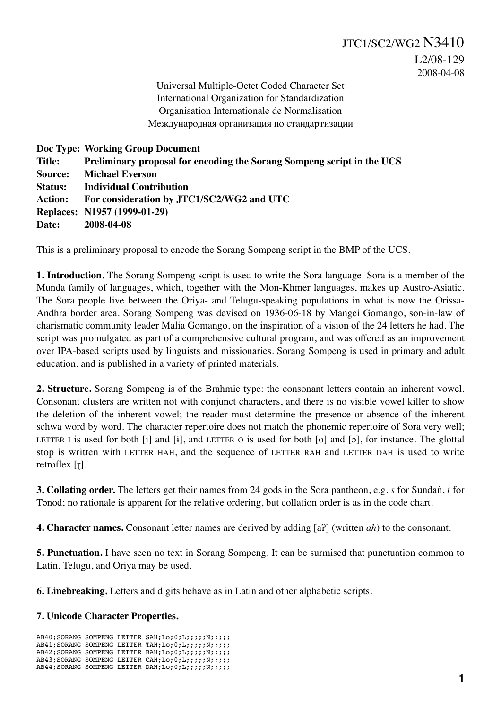Universal Multiple-Octet Coded Character Set International Organization for Standardization Organisation Internationale de Normalisation Международная организация по стандартизации

|                | Doc Type: Working Group Document                                       |
|----------------|------------------------------------------------------------------------|
| Title:         | Preliminary proposal for encoding the Sorang Sompeng script in the UCS |
|                | <b>Source:</b> Michael Everson                                         |
| <b>Status:</b> | <b>Individual Contribution</b>                                         |
| <b>Action:</b> | For consideration by JTC1/SC2/WG2 and UTC                              |
|                | Replaces: N1957 (1999-01-29)                                           |
| Date:          | 2008-04-08                                                             |

This is a preliminary proposal to encode the Sorang Sompeng script in the BMP of the UCS.

**1. Introduction.** The Sorang Sompeng script is used to write the Sora language. Sora is a member of the Munda family of languages, which, together with the Mon-Khmer languages, makes up Austro-Asiatic. The Sora people live between the Oriya- and Telugu-speaking populations in what is now the Orissa-Andhra border area. Sorang Sompeng was devised on 1936-06-18 by Mangei Gomango, son-in-law of charismatic community leader Malia Gomango, on the inspiration of a vision of the 24 letters he had. The script was promulgated as part of a comprehensive cultural program, and was offered as an improvement over IPA-based scripts used by linguists and missionaries. Sorang Sompeng is used in primary and adult education, and is published in a variety of printed materials.

**2. Structure.** Sorang Sompeng is of the Brahmic type: the consonant letters contain an inherent vowel. Consonant clusters are written not with conjunct characters, and there is no visible vowel killer to show the deletion of the inherent vowel; the reader must determine the presence or absence of the inherent schwa word by word. The character repertoire does not match the phonemic repertoire of Sora very well; LETTER I is used for both [i] and [ɨ], and LETTER O is used for both [o] and [ɔ], for instance. The glottal stop is written with LETTER HAH, and the sequence of LETTER RAH and LETTER DAH is used to write retroflex [ɽ].

**3. Collating order.** The letters get their names from 24 gods in the Sora pantheon, e.g. *s* for Sundaṅ, *t* for Tənod; no rationale is apparent for the relative ordering, but collation order is as in the code chart.

**4. Character names.** Consonant letter names are derived by adding [aʔ] (written *ah*) to the consonant.

**5. Punctuation.** I have seen no text in Sorang Sompeng. It can be surmised that punctuation common to Latin, Telugu, and Oriya may be used.

**6. Linebreaking.** Letters and digits behave as in Latin and other alphabetic scripts.

## **7. Unicode Character Properties.**

AB40; SORANG SOMPENG LETTER SAH; Lo; 0; L;;;;;;N;;;;; AB41; SORANG SOMPENG LETTER TAH; Lo; 0; L;;;;;N;;;;; AB42: SORANG SOMPENG LETTER BAH; Lo; 0; L;;;;;;N;;;;;; AB43; SORANG SOMPENG LETTER CAH; Lo;  $0$ ; L;;;;;; N;;;;;; AB44;SORANG SOMPENG LETTER DAH;Lo;0;L;;;;;N;;;;;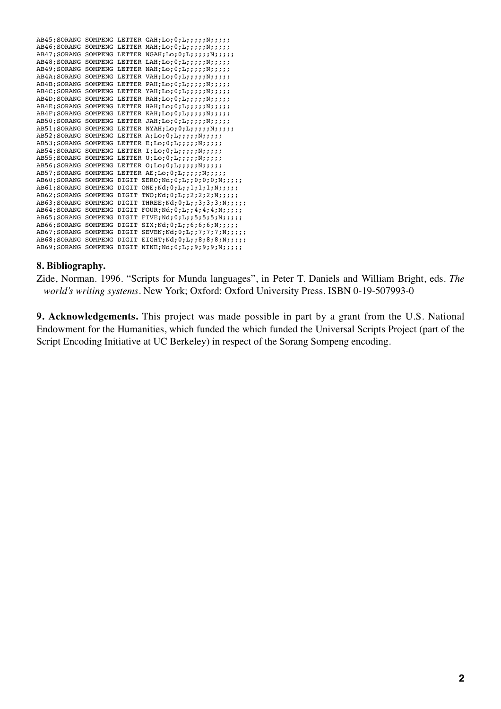| AB45; SORANG |         |       | SOMPENG LETTER GAH; Lo; 0; L; ; ; ; ; N; ; ; ; ; |
|--------------|---------|-------|--------------------------------------------------|
| AB46; SORANG | SOMPENG |       | LETTER MAH; Lo; 0; L; ; ; ; ; N; ; ; ; ;         |
| AB47: SORANG | SOMPENG |       | LETTER NGAH; Lo; $0;L$ ; ;;;;;;;;;;              |
| AB48: SORANG | SOMPENG |       | LETTER LAH; Lo; $0;L$ ; ;;;;;;;;;;;              |
| AB49; SORANG | SOMPENG |       | LETTER NAH;Lo;0;L;;;;;N;;;;;                     |
| AB4A; SORANG | SOMPENG |       | LETTER VAH;Lo;0;L;;;;;;N;;;;;                    |
| AB4B: SORANG | SOMPENG |       | LETTER PAH;Lo;0;L;;;;;N;;;;;                     |
| AB4C; SORANG | SOMPENG |       | LETTER YAH;Lo;0;L;;;;;N;;;;;                     |
| AB4D: SORANG | SOMPENG |       | LETTER RAH; Lo; 0; L; ; ; ; ; N; ; ; ; ;         |
| AB4E; SORANG | SOMPENG |       | LETTER HAH; Lo; 0; L; ; ; ; ; N; ; ; ; ;         |
| AB4F: SORANG | SOMPENG |       | LETTER KAH; Lo; $0;L$ ; ;;;;;N;;;;;              |
| AB50; SORANG | SOMPENG |       | LETTER JAH;Lo;0;L;;;;;N;;;;;                     |
| AB51: SORANG | SOMPENG |       | LETTER NYAH; Lo; 0; L; ; ; ; ; N; ; ; ; ;        |
| AB52; SORANG | SOMPENG |       | LETTER $A; Lo; 0; L; j; j; N; j; j; j$           |
| AB53; SORANG | SOMPENG |       | LETTER $E$ ; Lo; 0; L; ; ; ; ; N; ; ; ; ;        |
| AB54: SORANG | SOMPENG |       | LETTER $I;Lo;0;L;$ ;;;;;N;;;;;                   |
| AB55: SORANG | SOMPENG |       | LETTER $U;L0;0;L;$ ;;;;;N;;;;;                   |
| AB56: SORANG | SOMPENG |       | LETTER $0;L0;0;L;$ ;;;;;N;;;;;                   |
| AB57; SORANG | SOMPENG |       | LETTER AE;Lo; $0;L;$ ;;;;;N;;;;;                 |
| AB60; SORANG | SOMPENG | DIGIT | ZERO; Nd; 0; L; ; 0; 0; 0; N; ; ; ; ;            |
| AB61; SORANG | SOMPENG | DIGIT | ONE; Nd; 0; L; ; 1; 1; 1; N; ; ; ;               |
| AB62: SORANG | SOMPENG | DIGIT | TWO; Nd; 0; L; ; 2; 2; 2; N; ; ; ;               |
| AB63: SORANG | SOMPENG | DIGIT | THREE; Nd; 0; L; ; 3; 3; 3; N; ; ; ; ;           |
| AB64: SORANG | SOMPENG | DIGIT | FOUR; Nd; 0; L; ; 4; 4; 4; N; ; ; ;              |
| AB65; SORANG | SOMPENG | DIGIT | FIVE; Nd; 0; L; ; 5; 5; 5; N; ; ; ;              |
| AB66: SORANG | SOMPENG | DIGIT | $SIX;Nd;0;L;;6;6;6;N;$ ;;;;                      |
| AB67: SORANG | SOMPENG | DIGIT | SEVEN; Nd; 0; L; ; 7; 7; 7; N; ; ; ; ;           |
| AB68: SORANG | SOMPENG | DIGIT | EIGHT; Nd; 0; L; ; 8; 8; 8; N; ; ; ; ;           |
| AB69: SORANG | SOMPENG | DIGIT | NINE; Nd; 0; L; ; 9; 9; 9; N; ; ; ; ;            |

## **8. Bibliography.**

Zide, Norman. 1996. "Scripts for Munda languages", in Peter T. Daniels and William Bright, eds. *The world's writing systems.* New York; Oxford: Oxford University Press. ISBN 0-19-507993-0

**9. Acknowledgements.** This project was made possible in part by a grant from the U.S. National Endowment for the Humanities, which funded the which funded the Universal Scripts Project (part of the Script Encoding Initiative at UC Berkeley) in respect of the Sorang Sompeng encoding.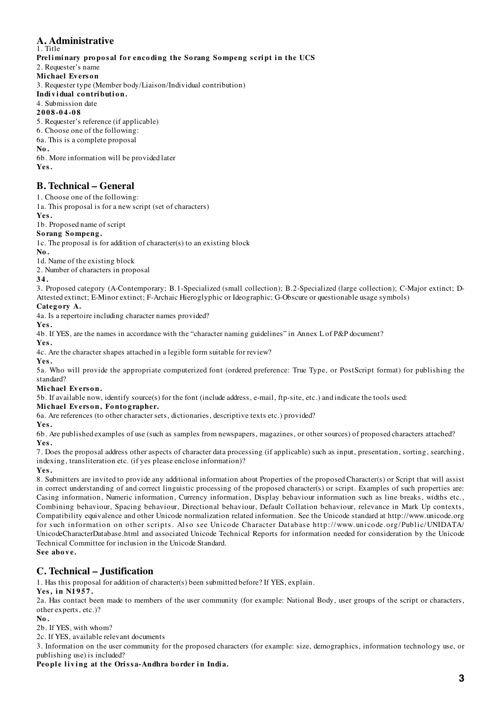#### **A. Administrative** 1. Title

## Preliminary proposal for encoding the Sorang Sompeng script in the UCS

2. Requester's name

- **Mi chael Ev ers o n**
- 3. Requester type (Member body/Liaison/Individual contribution)
- Individual contribution.

## 4. Submission date

**2008-04-08**

5. Requester's reference (if applicable)

6. Choose one of the following:

6a. This is a complete proposal

**No.**

6b. More information will be provided later **Yes.**

## **B. Technical – General**

1. Choose one of the following:

1a. This proposal is for a new script (set of characters)

**Yes.**

1b. Proposed name of script

# **So rang So mpeng .**

1c. The proposal is for addition of character(s) to an existing block

**No.**

1d. Name of the existing block

2. Number of characters in proposal

## **34.**

3. Proposed category (A-Contemporary; B.1-Specialized (small collection); B.2-Specialized (large collection); C-Major extinct; D-Attested extinct; E-Minor extinct; F-Archaic Hieroglyphic or Ideographic; G-Obscure or questionable usage symbols)

## Category A.

4a. Is a repertoire including character names provided?

**Yes.**

4b. If YES, are the names in accordance with the "character naming guidelines" in Annex L of P&P document? **Yes.**

4c. Are the character shapes attached in a legible form suitable for review?

**Yes.**

5a. Who will provide the appropriate computerized font (ordered preference: True Type, or PostScript format) for publishing the standard?

## **Mi chael Ev ers o n.**

5b. If available now, identify source(s) for the font (include address, e-mail, ftp-site, etc.) and indicate the tools used:

## **Mi chael Ev ers o n, Fo nto g rapher.**

6a. Are references (to other character sets, dictionaries, descriptive texts etc.) provided?

**Yes.**

6b. Are published examples of use (such as samples from newspapers, magazines, or other sources) of proposed characters attached? **Yes.**

7. Does the proposal address other aspects of character data processing (if applicable) such as input, presentation, sorting, searching, indexing, transliteration etc. (if yes please enclose information)?

**Yes.**

8. Submitters are invited to provide any additional information about Properties of the proposed Character(s) or Script that will assist in correct understanding of and correct linguistic processing of the proposed character(s) or script. Examples of such properties are: Casing information, Numeric information, Currency information, Display behaviour information such as line breaks, widths etc., Combining behaviour, Spacing behaviour, Directional behaviour, Default Collation behaviour, relevance in Mark Up contexts, Compatibility equivalence and other Unicode normalization related information. See the Unicode standard at http://www.unicode.org for such information on other scripts. Also see Unicode Character Database http://www. unicode. org/Public/UNIDATA/ UnicodeCharacterDatabase.html and associated Unicode Technical Reports for information needed for consideration by the Unicode Technical Committee for inclusion in the Unicode Standard. **See above.**

## **C. Technical – Justification**

1. Has this proposal for addition of character(s) been submitted before? If YES, explain.

## **Yes, in N1957.**

2a. Has contact been made to members of the user community (for example: National Body, user groups of the script or characters, other experts, etc.)?

**No.**

2b. If YES, with whom?

2c. If YES, available relevant documents

3. Information on the user community for the proposed characters (for example: size, demographics, information technology use, or publishing use) is included?

People living at the Orissa-Andhra border in India.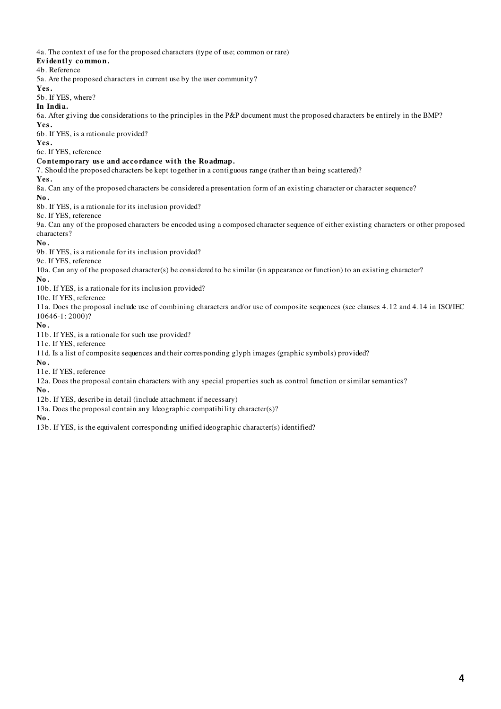4a. The context of use for the proposed characters (type of use; common or rare)

## Evidently common.

#### 4b. Reference

5a. Are the proposed characters in current use by the user community?

#### **Yes.**

5b. If YES, where?

## **In Indi a.**

6a. After giving due considerations to the principles in the P&P document must the proposed characters be entirely in the BMP? **Yes.**

6b. If YES, is a rationale provided?

**Yes.**

6c. If YES, reference

## **Co ntempo rary us e and acco rdance wi th the Ro admap.**

7. Should the proposed characters be kept together in a contiguous range (rather than being scattered)?

**Yes.**

8a. Can any of the proposed characters be considered a presentation form of an existing character or character sequence?

**No.**

8b. If YES, is a rationale for its inclusion provided?

8c. If YES, reference

9a. Can any of the proposed characters be encoded using a composed character sequence of either existing characters or other proposed characters?

**No.**

9b. If YES, is a rationale for its inclusion provided?

#### 9c. If YES, reference

10a. Can any of the proposed character(s) be considered to be similar (in appearance or function) to an existing character?

**No.**

10b. If YES, is a rationale for its inclusion provided?

10c. If YES, reference

11a. Does the proposal include use of combining characters and/or use of composite sequences (see clauses 4.12 and 4.14 in ISO/IEC 10646-1: 2000)?

**No.**

11b. If YES, is a rationale for such use provided?

11c. If YES, reference

11d. Is a list of composite sequences and their corresponding glyph images (graphic symbols) provided?

**No.** 

11e. If YES, reference

12a. Does the proposal contain characters with any special properties such as control function or similar semantics?

**No.**

12b. If YES, describe in detail (include attachment if necessary)

13a. Does the proposal contain any Ideographic compatibility character(s)?

**No.**

13b. If YES, is the equivalent corresponding unified ideographic character(s) identified?